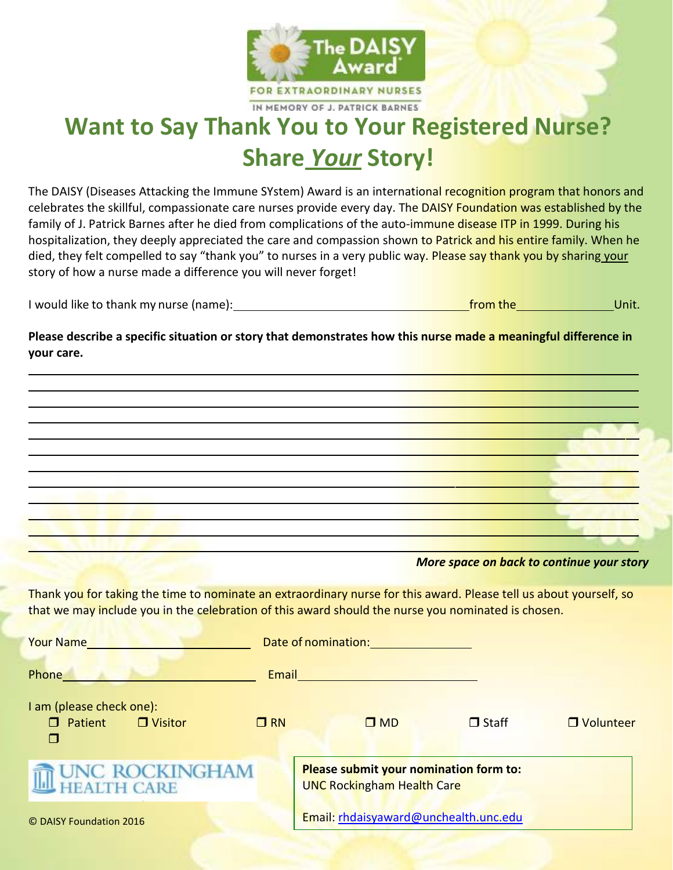

## **Want to Say Thank You to Your Registered Nurse? Share** *Your* **Story!**

The DAISY (Diseases Attacking the Immune SYstem) Award is an international recognition program that honors and celebrates the skillful, compassionate care nurses provide every day. The DAISY Foundation was established by the family of J. Patrick Barnes after he died from complications of the auto-immune disease ITP in 1999. During his hospitalization, they deeply appreciated the care and compassion shown to Patrick and his entire family. When he died, they felt compelled to say "thank you" to nurses in a very public way. Please say thank you by sharing your story of how a nurse made a difference you will never forget!

**Please describe a specific situation or story that demonstrates how this nurse made a meaningful difference in your care.**

|                                                                                                                                                                                                                                      |           | <u> 1989 - John Stein, Amerikaansk politik (</u>                                                              |                                           |             |
|--------------------------------------------------------------------------------------------------------------------------------------------------------------------------------------------------------------------------------------|-----------|---------------------------------------------------------------------------------------------------------------|-------------------------------------------|-------------|
|                                                                                                                                                                                                                                      |           |                                                                                                               |                                           |             |
|                                                                                                                                                                                                                                      |           |                                                                                                               | More space on back to continue your story |             |
| Thank you for taking the time to nominate an extraordinary nurse for this award. Please tell us about yourself, so<br>that we may include you in the celebration of this award should the nurse you nominated is chosen.             |           |                                                                                                               |                                           |             |
| <u>Your Name and Communities and Communities and Communities and Communities and Communities and Communities and Communities and Communities and Communities and Communities and Communities and Communities and Communities and</u> |           |                                                                                                               |                                           |             |
| Phone and the contract of the contract of the contract of the contract of the contract of the contract of the                                                                                                                        |           | Email and the contract of the contract of the contract of the contract of the contract of the contract of the |                                           |             |
|                                                                                                                                                                                                                                      |           |                                                                                                               |                                           |             |
| I am (please check one):<br>$\Box$ Patient $\Box$ Visitor<br>П                                                                                                                                                                       | $\Box$ RN | $\square$ MD                                                                                                  | $\Box$ Staff                              | □ Volunteer |
| UNC ROCKINGHAM<br><b>I CARE</b>                                                                                                                                                                                                      |           | Please submit your nomination form to:<br><b>UNC Rockingham Health Care</b>                                   |                                           |             |
| © DAISY Foundation 2016                                                                                                                                                                                                              |           | Email: rhdaisyaward@unchealth.unc.edu                                                                         |                                           |             |